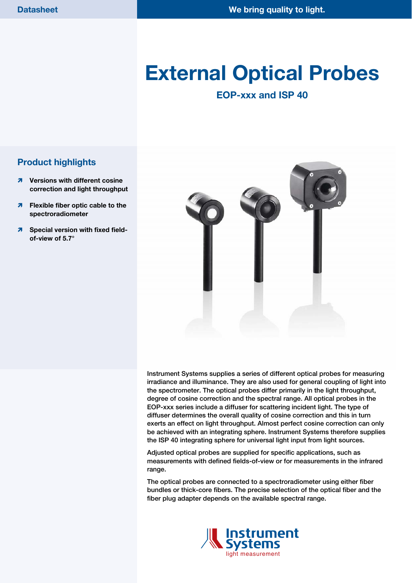# **External Optical Probes**

# **EOP-xxx and ISP 40**

### **Product highlights**

- $\lambda$  Versions with different cosine **correction and light throughput**
- **Flexible fiber optic cable to the spectroradiometer**
- **<u><b>A**</u> Special version with fixed field**of-view of 5.7°**



Instrument Systems supplies a series of different optical probes for measuring irradiance and illuminance. They are also used for general coupling of light into the spectrometer. The optical probes differ primarily in the light throughput, degree of cosine correction and the spectral range. All optical probes in the EOP-xxx series include a diffuser for scattering incident light. The type of diffuser determines the overall quality of cosine correction and this in turn exerts an effect on light throughput. Almost perfect cosine correction can only be achieved with an integrating sphere. Instrument Systems therefore supplies the ISP 40 integrating sphere for universal light input from light sources.

Adjusted optical probes are supplied for specific applications, such as measurements with defined fields-of-view or for measurements in the infrared range.

The optical probes are connected to a spectroradiometer using either fiber bundles or thick-core fibers. The precise selection of the optical fiber and the fiber plug adapter depends on the available spectral range.

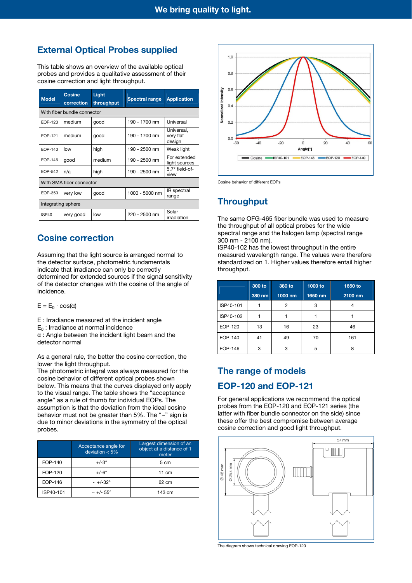# **External Optical Probes supplied**

This table shows an overview of the available optical probes and provides a qualitative assessment of their cosine correction and light throughput.

| <b>Model</b>             | <b>Cosine</b><br>correction | Light<br>throughput | <b>Spectral range</b> | <b>Application</b>                |  |  |
|--------------------------|-----------------------------|---------------------|-----------------------|-----------------------------------|--|--|
|                          | With fiber bundle connector |                     |                       |                                   |  |  |
| EOP-120                  | medium                      | qood                | 190 - 1700 nm         | Universal                         |  |  |
| EOP-121                  | medium                      | good                | 190 - 1700 nm         | Universal,<br>very flat<br>design |  |  |
| EOP-140                  | low                         | high                | 190 - 2500 nm         | Weak light                        |  |  |
| EOP-146                  | qood                        | medium              | 190 - 2500 nm         | For extended<br>light sources     |  |  |
| EOP-542                  | n/a                         | high                | 190 - 2500 nm         | $5.7^\circ$ field-of-<br>view     |  |  |
| With SMA fiber connector |                             |                     |                       |                                   |  |  |
| EOP-350                  | very low                    | good                | 1000 - 5000 nm        | IR spectral<br>range              |  |  |
| Integrating sphere       |                             |                     |                       |                                   |  |  |
| ISP <sub>40</sub>        | very good                   | low                 | 220 - 2500 nm         | Solar<br>irradiation              |  |  |

#### **Cosine correction**

Assuming that the light source is arranged normal to the detector surface, photometric fundamentals indicate that irradiance can only be correctly determined for extended sources if the signal sensitivity of the detector changes with the cosine of the angle of incidence.

 $E = E_0 \cdot \cos(\alpha)$ 

E : Irradiance measured at the incident angle

 $E_0$ : Irradiance at normal incidence

α : Angle between the incident light beam and the detector normal

As a general rule, the better the cosine correction, the lower the light throughput.

The photometric integral was always measured for the cosine behavior of different optical probes shown below. This means that the curves displayed only apply to the visual range. The table shows the "acceptance angle" as a rule of thumb for individual EOPs. The assumption is that the deviation from the ideal cosine behavior must not be greater than 5%. The "~" sign is due to minor deviations in the symmetry of the optical probes.

|           | Acceptance angle for<br>deviation $< 5\%$ | Largest dimension of an<br>object at a distance of 1<br>meter |
|-----------|-------------------------------------------|---------------------------------------------------------------|
| EOP-140   | $+/-3^\circ$                              | $5 \text{ cm}$                                                |
| EOP-120   | $+/-6^\circ$                              | $11 \text{ cm}$                                               |
| EOP-146   | $\sim +/-32^{\circ}$                      | $62 \text{ cm}$                                               |
| ISP40-101 | $\sim +/- 55^{\circ}$                     | 143 cm                                                        |



Cosine behavior of different EOPs

## **Throughput**

The same OFG-465 fiber bundle was used to measure the throughput of all optical probes for the wide spectral range and the halogen lamp (spectral range 300 nm - 2100 nm).

ISP40-102 has the lowest throughput in the entire measured wavelength range. The values were therefore standardized on 1. Higher values therefore entail higher throughput.

|           | 300 to | 380 to  | 1000 to | 1650 to |
|-----------|--------|---------|---------|---------|
|           | 380 nm | 1000 nm | 1650 nm | 2100 nm |
| ISP40-101 |        | 2       | 3       |         |
| ISP40-102 |        |         |         |         |
| EOP-120   | 13     | 16      | 23      | 46      |
| EOP-140   | 41     | 49      | 70      | 161     |
| EOP-146   | 3      | 3       | 5       | 8       |

# **The range of models EOP-120 and EOP-121**

For general applications we recommend the optical probes from the EOP-120 and EOP-121 series (the latter with fiber bundle connector on the side) since these offer the best compromise between average cosine correction and good light throughput.



The diagram shows technical drawing EOP-120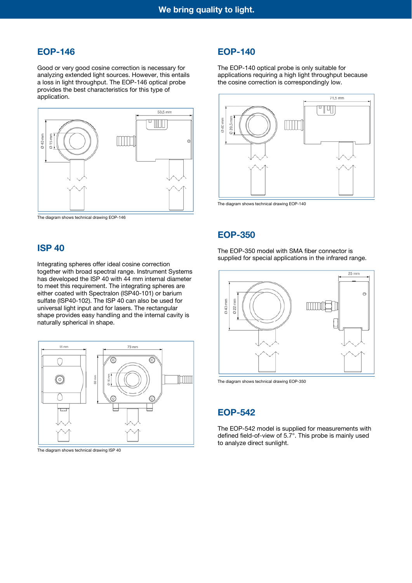#### **EOP-146**

Good or very good cosine correction is necessary for analyzing extended light sources. However, this entails a loss in light throughput. The EOP-146 optical probe provides the best characteristics for this type of application.



The diagram shows technical drawing EOP-146

#### **ISP 40**

Integrating spheres offer ideal cosine correction together with broad spectral range. Instrument Systems has developed the ISP 40 with 44 mm internal diameter to meet this requirement. The integrating spheres are either coated with Spectralon (ISP40-101) or barium sulfate (ISP40-102). The ISP 40 can also be used for universal light input and for lasers. The rectangular shape provides easy handling and the internal cavity is naturally spherical in shape.



The diagram shows technical drawing ISP 40

#### **EOP-140**

The EOP-140 optical probe is only suitable for applications requiring a high light throughput because the cosine correction is correspondingly low.



The diagram shows technical drawing EOP-140

#### **EOP-350**

The EOP-350 model with SMA fiber connector is supplied for special applications in the infrared range.



The diagram shows technical drawing EOP-350

#### **EOP-542**

The EOP-542 model is supplied for measurements with defined field-of-view of 5.7°. This probe is mainly used to analyze direct sunlight.